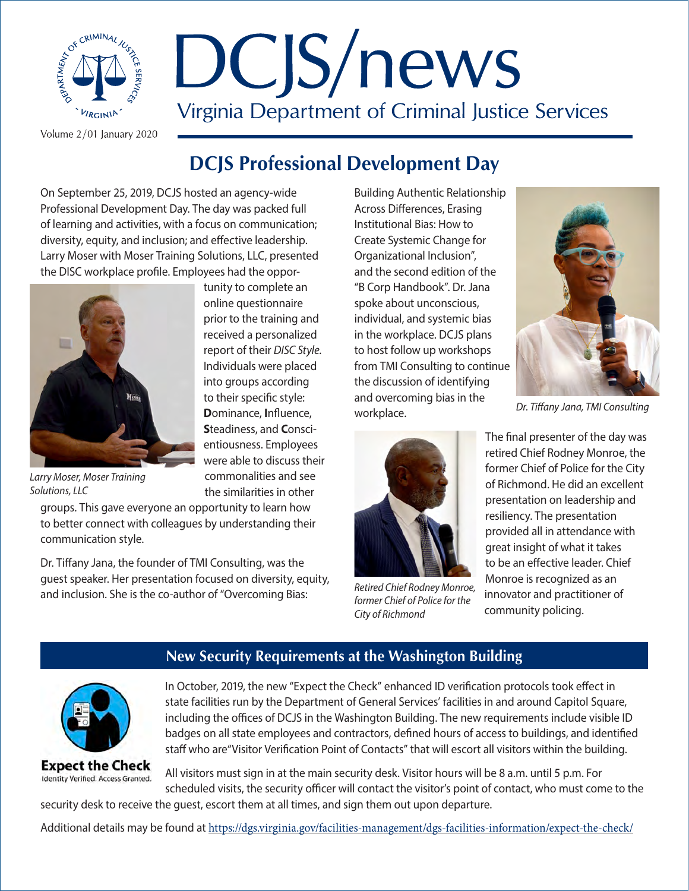

# DCJS/news Virginia Department of Criminal Justice Services

Volume 2/01 January 2020

# **DCJS Professional Development Day**

On September 25, 2019, DCJS hosted an agency-wide Professional Development Day. The day was packed full of learning and activities, with a focus on communication; diversity, equity, and inclusion; and effective leadership. Larry Moser with Moser Training Solutions, LLC, presented the DISC workplace profile. Employees had the oppor-

> tunity to complete an online questionnaire prior to the training and received a personalized report of their *DISC Style.*  Individuals were placed into groups according to their specific style: **D**ominance, **I**nfluence, **S**teadiness, and **C**onscientiousness. Employees were able to discuss their commonalities and see the similarities in other



*Larry Moser, Moser Training Solutions, LLC*

groups. This gave everyone an opportunity to learn how to better connect with colleagues by understanding their communication style.

Dr. Tiffany Jana, the founder of TMI Consulting, was the guest speaker. Her presentation focused on diversity, equity, and inclusion. She is the co-author of "Overcoming Bias:

Building Authentic Relationship Across Differences, Erasing Institutional Bias: How to Create Systemic Change for Organizational Inclusion", and the second edition of the "B Corp Handbook". Dr. Jana spoke about unconscious, individual, and systemic bias in the workplace. DCJS plans to host follow up workshops from TMI Consulting to continue the discussion of identifying and overcoming bias in the workplace.



*Dr. Tiffany Jana, TMI Consulting*



*Retired Chief Rodney Monroe, former Chief of Police for the City of Richmond*

The final presenter of the day was retired Chief Rodney Monroe, the former Chief of Police for the City of Richmond. He did an excellent presentation on leadership and resiliency. The presentation provided all in attendance with great insight of what it takes to be an effective leader. Chief Monroe is recognized as an innovator and practitioner of community policing.

# **New Security Requirements at the Washington Building**



In October, 2019, the new "Expect the Check" enhanced ID verification protocols took effect in state facilities run by the Department of General Services' facilities in and around Capitol Square, including the offices of DCJS in the Washington Building. The new requirements include visible ID badges on all state employees and contractors, defined hours of access to buildings, and identified staff who are"Visitor Verification Point of Contacts" that will escort all visitors within the building.

**Expect the Check** Identity Verified. Access Granted.

All visitors must sign in at the main security desk. Visitor hours will be 8 a.m. until 5 p.m. For scheduled visits, the security officer will contact the visitor's point of contact, who must come to the

security desk to receive the guest, escort them at all times, and sign them out upon departure.

Additional details may be found at <https://dgs.virginia.gov/facilities-management/dgs-facilities-information/expect-the-check/>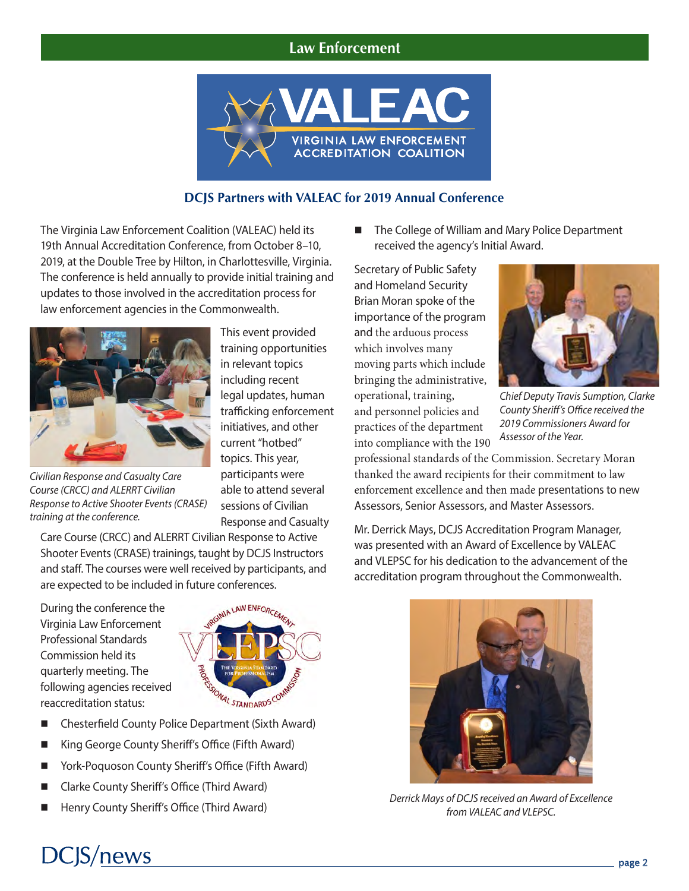### **Law Enforcement**



#### **DCJS Partners with VALEAC for 2019 Annual Conference**

The Virginia Law Enforcement Coalition (VALEAC) held its 19th Annual Accreditation Conference, from October 8–10, 2019, at the Double Tree by Hilton, in Charlottesville, Virginia. The conference is held annually to provide initial training and updates to those involved in the accreditation process for law enforcement agencies in the Commonwealth.



*Civilian Response and Casualty Care Course (CRCC) and ALERRT Civilian Response to Active Shooter Events (CRASE) training at the conference.*

This event provided training opportunities in relevant topics including recent legal updates, human trafficking enforcement initiatives, and other current "hotbed" topics. This year, participants were able to attend several sessions of Civilian Response and Casualty

Care Course (CRCC) and ALERRT Civilian Response to Active Shooter Events (CRASE) trainings, taught by DCJS Instructors and staff. The courses were well received by participants, and are expected to be included in future conferences.

During the conference the Virginia Law Enforcement Professional Standards Commission held its quarterly meeting. The following agencies received reaccreditation status:



- n Chesterfield County Police Department (Sixth Award)
- King George County Sheriff's Office (Fifth Award)
- York-Poquoson County Sheriff's Office (Fifth Award)
- n Clarke County Sheriff's Office (Third Award)
- Henry County Sheriff's Office (Third Award)

■ The College of William and Mary Police Department received the agency's Initial Award.

Secretary of Public Safety and Homeland Security Brian Moran spoke of the importance of the program and the arduous process which involves many moving parts which include bringing the administrative, operational, training, and personnel policies and practices of the department into compliance with the 190



*Chief Deputy Travis Sumption, Clarke County Sheriff's Office received the 2019 Commissioners Award for Assessor of the Year.* 

professional standards of the Commission. Secretary Moran thanked the award recipients for their commitment to law enforcement excellence and then made presentations to new Assessors, Senior Assessors, and Master Assessors.

Mr. Derrick Mays, DCJS Accreditation Program Manager, was presented with an Award of Excellence by VALEAC and VLEPSC for his dedication to the advancement of the accreditation program throughout the Commonwealth.



*Derrick Mays of DCJS received an Award of Excellence from VALEAC and VLEPSC.*

# **DCJS/news**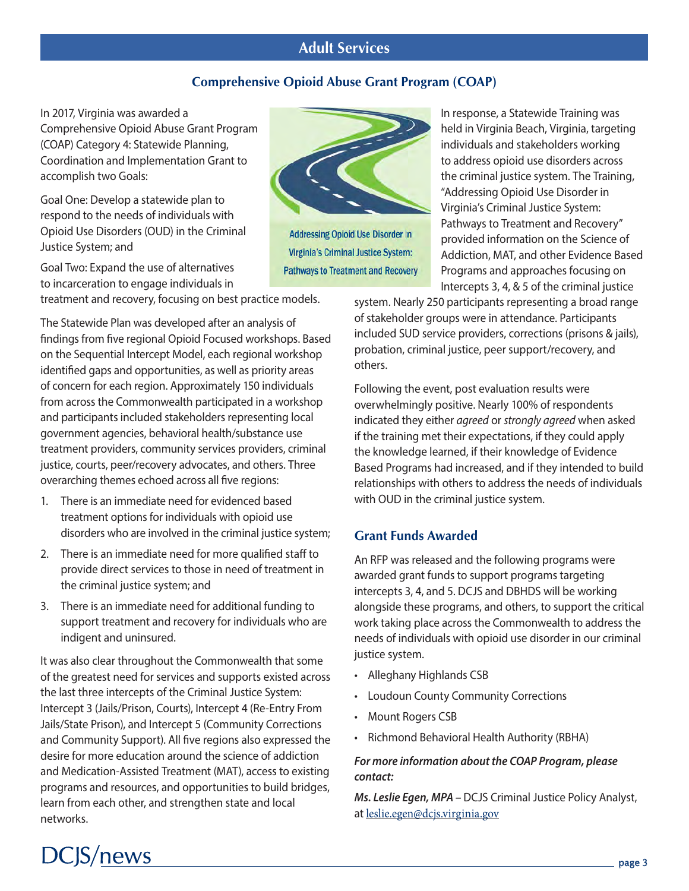# **Adult Services**

#### **Comprehensive Opioid Abuse Grant Program (COAP)**

In 2017, Virginia was awarded a Comprehensive Opioid Abuse Grant Program (COAP) Category 4: Statewide Planning, Coordination and Implementation Grant to accomplish two Goals:

Goal One: Develop a statewide plan to respond to the needs of individuals with Opioid Use Disorders (OUD) in the Criminal Justice System; and

Goal Two: Expand the use of alternatives to incarceration to engage individuals in

treatment and recovery, focusing on best practice models.

The Statewide Plan was developed after an analysis of findings from five regional Opioid Focused workshops. Based on the Sequential Intercept Model, each regional workshop identified gaps and opportunities, as well as priority areas of concern for each region. Approximately 150 individuals from across the Commonwealth participated in a workshop and participants included stakeholders representing local government agencies, behavioral health/substance use treatment providers, community services providers, criminal justice, courts, peer/recovery advocates, and others. Three overarching themes echoed across all five regions:

- 1. There is an immediate need for evidenced based treatment options for individuals with opioid use disorders who are involved in the criminal justice system;
- 2. There is an immediate need for more qualified staff to provide direct services to those in need of treatment in the criminal justice system; and
- 3. There is an immediate need for additional funding to support treatment and recovery for individuals who are indigent and uninsured.

It was also clear throughout the Commonwealth that some of the greatest need for services and supports existed across the last three intercepts of the Criminal Justice System: Intercept 3 (Jails/Prison, Courts), Intercept 4 (Re-Entry From Jails/State Prison), and Intercept 5 (Community Corrections and Community Support). All five regions also expressed the desire for more education around the science of addiction and Medication-Assisted Treatment (MAT), access to existing programs and resources, and opportunities to build bridges, learn from each other, and strengthen state and local networks.



**Addressing Opioid Use Disorder in Virginia's Criminal Justice System: Pathways to Treatment and Recovery** 

In response, a Statewide Training was held in Virginia Beach, Virginia, targeting individuals and stakeholders working to address opioid use disorders across the criminal justice system. The Training, "Addressing Opioid Use Disorder in Virginia's Criminal Justice System: Pathways to Treatment and Recovery" provided information on the Science of Addiction, MAT, and other Evidence Based Programs and approaches focusing on Intercepts 3, 4, & 5 of the criminal justice

system. Nearly 250 participants representing a broad range of stakeholder groups were in attendance. Participants included SUD service providers, corrections (prisons & jails), probation, criminal justice, peer support/recovery, and others.

Following the event, post evaluation results were overwhelmingly positive. Nearly 100% of respondents indicated they either *agreed* or *strongly agreed* when asked if the training met their expectations, if they could apply the knowledge learned, if their knowledge of Evidence Based Programs had increased, and if they intended to build relationships with others to address the needs of individuals with OUD in the criminal justice system.

#### **Grant Funds Awarded**

An RFP was released and the following programs were awarded grant funds to support programs targeting intercepts 3, 4, and 5. DCJS and DBHDS will be working alongside these programs, and others, to support the critical work taking place across the Commonwealth to address the needs of individuals with opioid use disorder in our criminal justice system.

- Alleghany Highlands CSB
- Loudoun County Community Corrections
- Mount Rogers CSB
- Richmond Behavioral Health Authority (RBHA)

#### *For more information about the COAP Program, please contact:*

*Ms. Leslie Egen, MPA –* DCJS Criminal Justice Policy Analyst, at [leslie.egen@dcjs.virginia.gov](mailto:leslie.egen%40dcjs.virginia.gov?subject=)

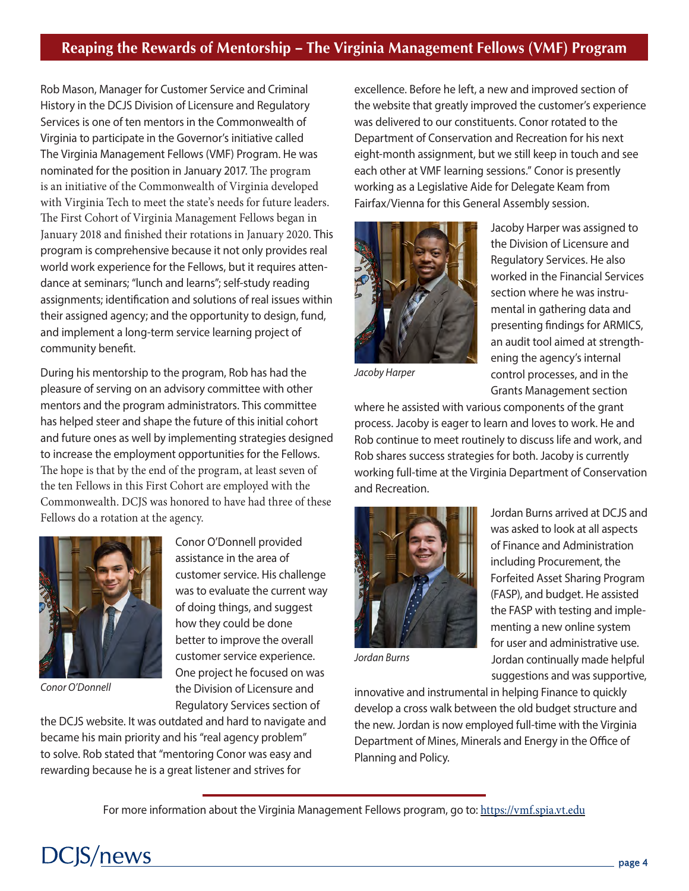# **Reaping the Rewards of Mentorship – The Virginia Management Fellows (VMF) Program**

Rob Mason, Manager for Customer Service and Criminal History in the DCJS Division of Licensure and Regulatory Services is one of ten mentors in the Commonwealth of Virginia to participate in the Governor's initiative called The Virginia Management Fellows (VMF) Program. He was nominated for the position in January 2017. The program is an initiative of the Commonwealth of Virginia developed with Virginia Tech to meet the state's needs for future leaders. The First Cohort of Virginia Management Fellows began in January 2018 and finished their rotations in January 2020. This program is comprehensive because it not only provides real world work experience for the Fellows, but it requires attendance at seminars; "lunch and learns"; self-study reading assignments; identification and solutions of real issues within their assigned agency; and the opportunity to design, fund, and implement a long-term service learning project of community benefit.

During his mentorship to the program, Rob has had the pleasure of serving on an advisory committee with other mentors and the program administrators. This committee has helped steer and shape the future of this initial cohort and future ones as well by implementing strategies designed to increase the employment opportunities for the Fellows. The hope is that by the end of the program, at least seven of the ten Fellows in this First Cohort are employed with the Commonwealth. DCJS was honored to have had three of these Fellows do a rotation at the agency.



*Conor O'Donnell*

Conor O'Donnell provided assistance in the area of customer service. His challenge was to evaluate the current way of doing things, and suggest how they could be done better to improve the overall customer service experience. One project he focused on was the Division of Licensure and Regulatory Services section of

the DCJS website. It was outdated and hard to navigate and became his main priority and his "real agency problem" to solve. Rob stated that "mentoring Conor was easy and rewarding because he is a great listener and strives for

excellence. Before he left, a new and improved section of the website that greatly improved the customer's experience was delivered to our constituents. Conor rotated to the Department of Conservation and Recreation for his next eight-month assignment, but we still keep in touch and see each other at VMF learning sessions." Conor is presently working as a Legislative Aide for Delegate Keam from Fairfax/Vienna for this General Assembly session.



Jacoby Harper was assigned to the Division of Licensure and Regulatory Services. He also worked in the Financial Services section where he was instrumental in gathering data and presenting findings for ARMICS, an audit tool aimed at strengthening the agency's internal control processes, and in the Grants Management section

*Jacoby Harper*

where he assisted with various components of the grant process. Jacoby is eager to learn and loves to work. He and Rob continue to meet routinely to discuss life and work, and Rob shares success strategies for both. Jacoby is currently working full-time at the Virginia Department of Conservation and Recreation.



*Jordan Burns*

Jordan Burns arrived at DCJS and was asked to look at all aspects of Finance and Administration including Procurement, the Forfeited Asset Sharing Program (FASP), and budget. He assisted the FASP with testing and implementing a new online system for user and administrative use. Jordan continually made helpful suggestions and was supportive,

innovative and instrumental in helping Finance to quickly develop a cross walk between the old budget structure and the new. Jordan is now employed full-time with the Virginia Department of Mines, Minerals and Energy in the Office of Planning and Policy.

For more information about the Virginia Management Fellows program, go to: [https://vmf.spia.vt.edu](https://vmf.spia.vt.edu/)

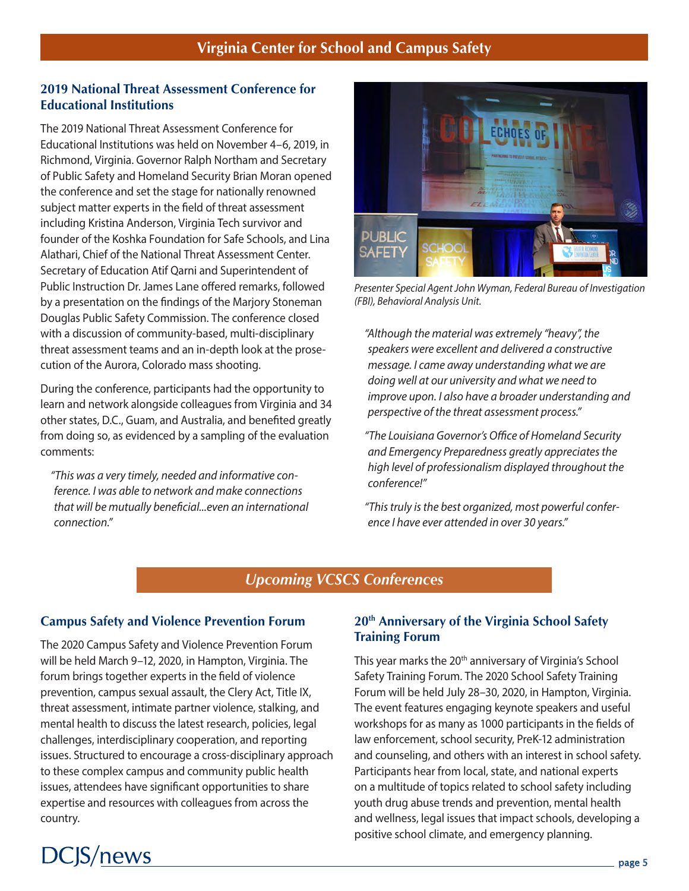#### **2019 National Threat Assessment Conference for Educational Institutions**

The 2019 National Threat Assessment Conference for Educational Institutions was held on November 4–6, 2019, in Richmond, Virginia. Governor Ralph Northam and Secretary of Public Safety and Homeland Security Brian Moran opened the conference and set the stage for nationally renowned subject matter experts in the field of threat assessment including Kristina Anderson, Virginia Tech survivor and founder of the Koshka Foundation for Safe Schools, and Lina Alathari, Chief of the National Threat Assessment Center. Secretary of Education Atif Qarni and Superintendent of Public Instruction Dr. James Lane offered remarks, followed by a presentation on the findings of the Marjory Stoneman Douglas Public Safety Commission. The conference closed with a discussion of community-based, multi-disciplinary threat assessment teams and an in-depth look at the prosecution of the Aurora, Colorado mass shooting.

During the conference, participants had the opportunity to learn and network alongside colleagues from Virginia and 34 other states, D.C., Guam, and Australia, and benefited greatly from doing so, as evidenced by a sampling of the evaluation comments:

*"This was a very timely, needed and informative conference. I was able to network and make connections that will be mutually beneficial...even an international connection."*



*Presenter Special Agent John Wyman, Federal Bureau of Investigation (FBI), Behavioral Analysis Unit.*

*"Although the material was extremely "heavy", the speakers were excellent and delivered a constructive message. I came away understanding what we are doing well at our university and what we need to improve upon. I also have a broader understanding and perspective of the threat assessment process."* 

*"The Louisiana Governor's Office of Homeland Security and Emergency Preparedness greatly appreciates the high level of professionalism displayed throughout the conference!"*

*"This truly is the best organized, most powerful conference I have ever attended in over 30 years."*

# *Upcoming VCSCS Conferences*

#### **Campus Safety and Violence Prevention Forum**

The 2020 Campus Safety and Violence Prevention Forum will be held March 9–12, 2020, in Hampton, Virginia. The forum brings together experts in the field of violence prevention, campus sexual assault, the Clery Act, Title IX, threat assessment, intimate partner violence, stalking, and mental health to discuss the latest research, policies, legal challenges, interdisciplinary cooperation, and reporting issues. Structured to encourage a cross-disciplinary approach to these complex campus and community public health issues, attendees have significant opportunities to share expertise and resources with colleagues from across the country.

**DCJS/news** 

#### **20th Anniversary of the Virginia School Safety Training Forum**

This year marks the 20<sup>th</sup> anniversary of Virginia's School Safety Training Forum. The 2020 School Safety Training Forum will be held July 28–30, 2020, in Hampton, Virginia. The event features engaging keynote speakers and useful workshops for as many as 1000 participants in the fields of law enforcement, school security, PreK-12 administration and counseling, and others with an interest in school safety. Participants hear from local, state, and national experts on a multitude of topics related to school safety including youth drug abuse trends and prevention, mental health and wellness, legal issues that impact schools, developing a positive school climate, and emergency planning.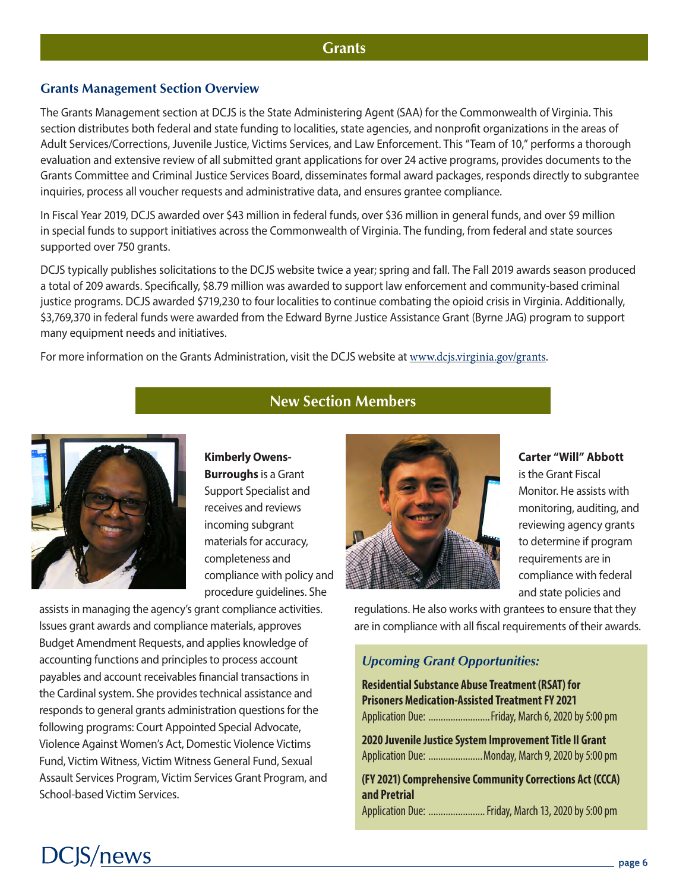#### **Grants**

#### **Grants Management Section Overview**

The Grants Management section at DCJS is the State Administering Agent (SAA) for the Commonwealth of Virginia. This section distributes both federal and state funding to localities, state agencies, and nonprofit organizations in the areas of Adult Services/Corrections, Juvenile Justice, Victims Services, and Law Enforcement. This "Team of 10," performs a thorough evaluation and extensive review of all submitted grant applications for over 24 active programs, provides documents to the Grants Committee and Criminal Justice Services Board, disseminates formal award packages, responds directly to subgrantee inquiries, process all voucher requests and administrative data, and ensures grantee compliance.

In Fiscal Year 2019, DCJS awarded over \$43 million in federal funds, over \$36 million in general funds, and over \$9 million in special funds to support initiatives across the Commonwealth of Virginia. The funding, from federal and state sources supported over 750 grants.

DCJS typically publishes solicitations to the DCJS website twice a year; spring and fall. The Fall 2019 awards season produced a total of 209 awards. Specifically, \$8.79 million was awarded to support law enforcement and community-based criminal justice programs. DCJS awarded \$719,230 to four localities to continue combating the opioid crisis in Virginia. Additionally, \$3,769,370 in federal funds were awarded from the Edward Byrne Justice Assistance Grant (Byrne JAG) program to support many equipment needs and initiatives.

For more information on the Grants Administration, visit the DCJS website at [www.dcjs.virginia.gov/grants](https://www.dcjs.virginia.gov/grants).



**New Section Members**

**Kimberly Owens-Burroughs** is a Grant Support Specialist and receives and reviews incoming subgrant materials for accuracy, completeness and compliance with policy and procedure guidelines. She

assists in managing the agency's grant compliance activities. Issues grant awards and compliance materials, approves Budget Amendment Requests, and applies knowledge of accounting functions and principles to process account payables and account receivables financial transactions in the Cardinal system. She provides technical assistance and responds to general grants administration questions for the following programs: Court Appointed Special Advocate, Violence Against Women's Act, Domestic Violence Victims Fund, Victim Witness, Victim Witness General Fund, Sexual Assault Services Program, Victim Services Grant Program, and School-based Victim Services.



**Carter "Will" Abbott** is the Grant Fiscal Monitor. He assists with monitoring, auditing, and reviewing agency grants to determine if program requirements are in compliance with federal and state policies and

regulations. He also works with grantees to ensure that they are in compliance with all fiscal requirements of their awards.

#### *Upcoming Grant Opportunities:*

**Residential Substance Abuse Treatment (RSAT) for Prisoners Medication-Assisted Treatment FY 2021** Application Due: .........................Friday, March 6, 2020 by 5:00 pm

**2020 Juvenile Justice System Improvement Title II Grant** Application Due: ......................Monday, March 9, 2020 by 5:00 pm

**(FY 2021) Comprehensive Community Corrections Act (CCCA) and Pretrial**  Application Due: .......................Friday, March 13, 2020 by 5:00 pm

# **DCJS/news**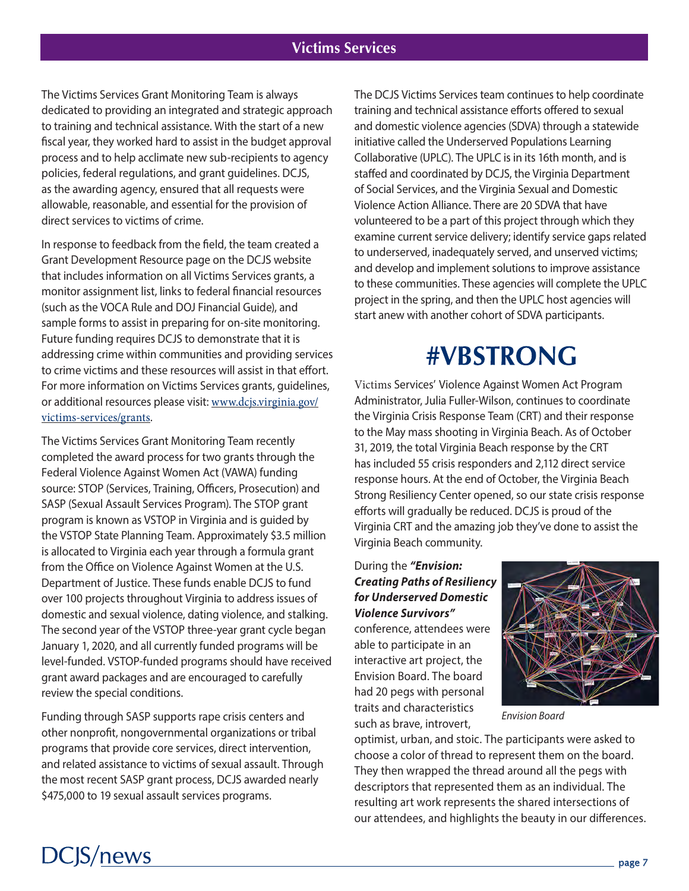# **Victims Services**

The Victims Services Grant Monitoring Team is always dedicated to providing an integrated and strategic approach to training and technical assistance. With the start of a new fiscal year, they worked hard to assist in the budget approval process and to help acclimate new sub-recipients to agency policies, federal regulations, and grant guidelines. DCJS, as the awarding agency, ensured that all requests were allowable, reasonable, and essential for the provision of direct services to victims of crime.

In response to feedback from the field, the team created a Grant Development Resource page on the DCJS website that includes information on all Victims Services grants, a monitor assignment list, links to federal financial resources (such as the VOCA Rule and DOJ Financial Guide), and sample forms to assist in preparing for on-site monitoring. Future funding requires DCJS to demonstrate that it is addressing crime within communities and providing services to crime victims and these resources will assist in that effort. For more information on Victims Services grants, guidelines, or additional resources please visit: [www.dcjs.virginia.gov/](https://www.dcjs.virginia.gov/victims-services/grants) [victims-services/grants](https://www.dcjs.virginia.gov/victims-services/grants).

The Victims Services Grant Monitoring Team recently completed the award process for two grants through the Federal Violence Against Women Act (VAWA) funding source: STOP (Services, Training, Officers, Prosecution) and SASP (Sexual Assault Services Program). The STOP grant program is known as VSTOP in Virginia and is guided by the VSTOP State Planning Team. Approximately \$3.5 million is allocated to Virginia each year through a formula grant from the Office on Violence Against Women at the U.S. Department of Justice. These funds enable DCJS to fund over 100 projects throughout Virginia to address issues of domestic and sexual violence, dating violence, and stalking. The second year of the VSTOP three-year grant cycle began January 1, 2020, and all currently funded programs will be level-funded. VSTOP-funded programs should have received grant award packages and are encouraged to carefully review the special conditions.

Funding through SASP supports rape crisis centers and other nonprofit, nongovernmental organizations or tribal programs that provide core services, direct intervention, and related assistance to victims of sexual assault. Through the most recent SASP grant process, DCJS awarded nearly \$475,000 to 19 sexual assault services programs.

**DCJS/news** 

The DCJS Victims Services team continues to help coordinate training and technical assistance efforts offered to sexual and domestic violence agencies (SDVA) through a statewide initiative called the Underserved Populations Learning Collaborative (UPLC). The UPLC is in its 16th month, and is staffed and coordinated by DCJS, the Virginia Department of Social Services, and the Virginia Sexual and Domestic Violence Action Alliance. There are 20 SDVA that have volunteered to be a part of this project through which they examine current service delivery; identify service gaps related to underserved, inadequately served, and unserved victims; and develop and implement solutions to improve assistance to these communities. These agencies will complete the UPLC project in the spring, and then the UPLC host agencies will start anew with another cohort of SDVA participants.

# **#VBSTRONG**

Victims Services' Violence Against Women Act Program Administrator, Julia Fuller-Wilson, continues to coordinate the Virginia Crisis Response Team (CRT) and their response to the May mass shooting in Virginia Beach. As of October 31, 2019, the total Virginia Beach response by the CRT has included 55 crisis responders and 2,112 direct service response hours. At the end of October, the Virginia Beach Strong Resiliency Center opened, so our state crisis response efforts will gradually be reduced. DCJS is proud of the Virginia CRT and the amazing job they've done to assist the Virginia Beach community.

#### During the *"Envision: Creating Paths of Resiliency for Underserved Domestic Violence Survivors"*

conference, attendees were able to participate in an interactive art project, the Envision Board. The board had 20 pegs with personal traits and characteristics such as brave, introvert,



*Envision Board*

optimist, urban, and stoic. The participants were asked to choose a color of thread to represent them on the board. They then wrapped the thread around all the pegs with descriptors that represented them as an individual. The resulting art work represents the shared intersections of our attendees, and highlights the beauty in our differences.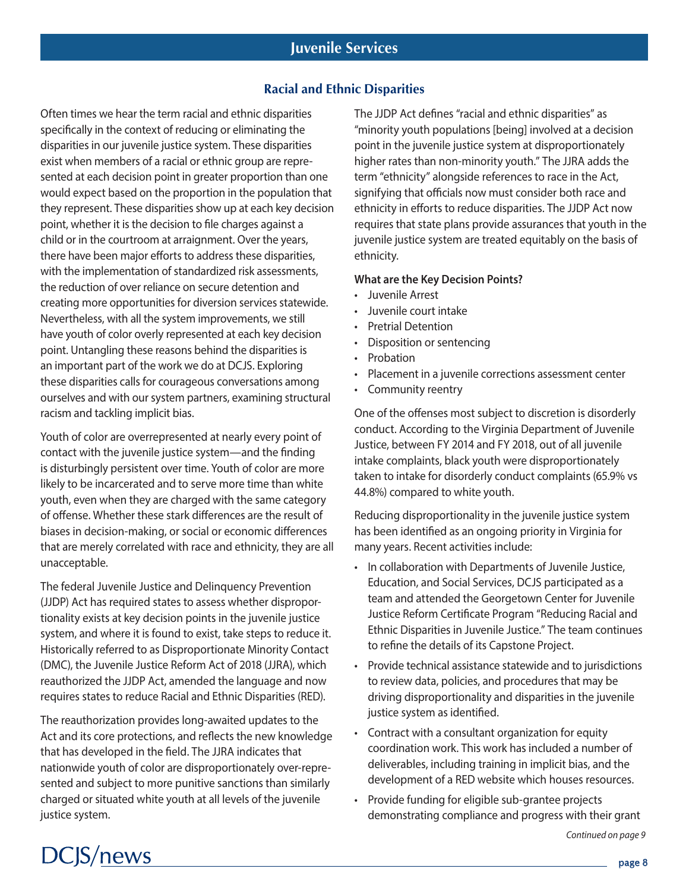#### **Racial and Ethnic Disparities**

Often times we hear the term racial and ethnic disparities specifically in the context of reducing or eliminating the disparities in our juvenile justice system. These disparities exist when members of a racial or ethnic group are represented at each decision point in greater proportion than one would expect based on the proportion in the population that they represent. These disparities show up at each key decision point, whether it is the decision to file charges against a child or in the courtroom at arraignment. Over the years, there have been major efforts to address these disparities, with the implementation of standardized risk assessments, the reduction of over reliance on secure detention and creating more opportunities for diversion services statewide. Nevertheless, with all the system improvements, we still have youth of color overly represented at each key decision point. Untangling these reasons behind the disparities is an important part of the work we do at DCJS. Exploring these disparities calls for courageous conversations among ourselves and with our system partners, examining structural racism and tackling implicit bias.

Youth of color are overrepresented at nearly every point of contact with the juvenile justice system—and the finding is disturbingly persistent over time. Youth of color are more likely to be incarcerated and to serve more time than white youth, even when they are charged with the same category of offense. Whether these stark differences are the result of biases in decision-making, or social or economic differences that are merely correlated with race and ethnicity, they are all unacceptable.

The federal Juvenile Justice and Delinquency Prevention (JJDP) Act has required states to assess whether disproportionality exists at key decision points in the juvenile justice system, and where it is found to exist, take steps to reduce it. Historically referred to as Disproportionate Minority Contact (DMC), the Juvenile Justice Reform Act of 2018 (JJRA), which reauthorized the JJDP Act, amended the language and now requires states to reduce Racial and Ethnic Disparities (RED).

The reauthorization provides long-awaited updates to the Act and its core protections, and reflects the new knowledge that has developed in the field. The JJRA indicates that nationwide youth of color are disproportionately over-represented and subject to more punitive sanctions than similarly charged or situated white youth at all levels of the juvenile justice system.

The JJDP Act defines "racial and ethnic disparities" as "minority youth populations [being] involved at a decision point in the juvenile justice system at disproportionately higher rates than non-minority youth." The JJRA adds the term "ethnicity" alongside references to race in the Act, signifying that officials now must consider both race and ethnicity in efforts to reduce disparities. The JJDP Act now requires that state plans provide assurances that youth in the juvenile justice system are treated equitably on the basis of ethnicity.

#### **What are the Key Decision Points?**

- Juvenile Arrest
- Juvenile court intake
- Pretrial Detention
- Disposition or sentencing
- **Probation**
- Placement in a juvenile corrections assessment center
- Community reentry

One of the offenses most subject to discretion is disorderly conduct. According to the Virginia Department of Juvenile Justice, between FY 2014 and FY 2018, out of all juvenile intake complaints, black youth were disproportionately taken to intake for disorderly conduct complaints (65.9% vs 44.8%) compared to white youth.

Reducing disproportionality in the juvenile justice system has been identified as an ongoing priority in Virginia for many years. Recent activities include:

- In collaboration with Departments of Juvenile Justice, Education, and Social Services, DCJS participated as a team and attended the Georgetown Center for Juvenile Justice Reform Certificate Program "Reducing Racial and Ethnic Disparities in Juvenile Justice." The team continues to refine the details of its Capstone Project.
- Provide technical assistance statewide and to jurisdictions to review data, policies, and procedures that may be driving disproportionality and disparities in the juvenile justice system as identified.
- Contract with a consultant organization for equity coordination work. This work has included a number of deliverables, including training in implicit bias, and the development of a RED website which houses resources.
- Provide funding for eligible sub-grantee projects demonstrating compliance and progress with their grant

*Continued on page 9*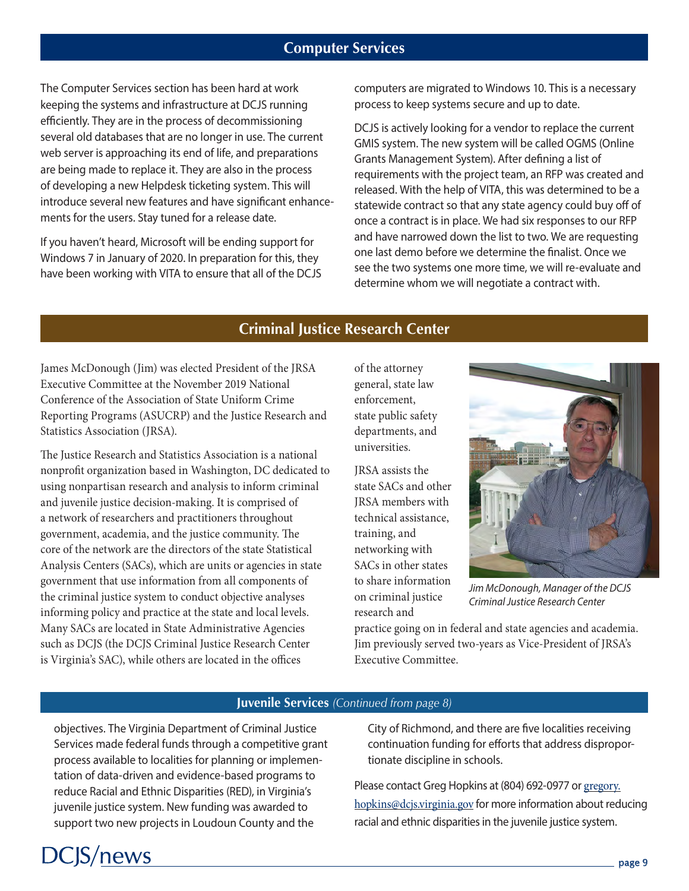## **Computer Services**

The Computer Services section has been hard at work keeping the systems and infrastructure at DCJS running efficiently. They are in the process of decommissioning several old databases that are no longer in use. The current web server is approaching its end of life, and preparations are being made to replace it. They are also in the process of developing a new Helpdesk ticketing system. This will introduce several new features and have significant enhancements for the users. Stay tuned for a release date.

If you haven't heard, Microsoft will be ending support for Windows 7 in January of 2020. In preparation for this, they have been working with VITA to ensure that all of the DCJS computers are migrated to Windows 10. This is a necessary process to keep systems secure and up to date.

DCJS is actively looking for a vendor to replace the current GMIS system. The new system will be called OGMS (Online Grants Management System). After defining a list of requirements with the project team, an RFP was created and released. With the help of VITA, this was determined to be a statewide contract so that any state agency could buy off of once a contract is in place. We had six responses to our RFP and have narrowed down the list to two. We are requesting one last demo before we determine the finalist. Once we see the two systems one more time, we will re-evaluate and determine whom we will negotiate a contract with.

## **Criminal Justice Research Center**

James McDonough (Jim) was elected President of the JRSA Executive Committee at the November 2019 National Conference of the Association of State Uniform Crime Reporting Programs (ASUCRP) and the Justice Research and Statistics Association (JRSA).

The Justice Research and Statistics Association is a national nonprofit organization based in Washington, DC dedicated to using nonpartisan research and analysis to inform criminal and juvenile justice decision-making. It is comprised of a network of researchers and practitioners throughout government, academia, and the justice community. The core of the network are the directors of the state Statistical Analysis Centers (SACs), which are units or agencies in state government that use information from all components of the criminal justice system to conduct objective analyses informing policy and practice at the state and local levels. Many SACs are located in State Administrative Agencies such as DCJS (the DCJS Criminal Justice Research Center is Virginia's SAC), while others are located in the offices

of the attorney general, state law enforcement, state public safety departments, and universities.

JRSA assists the state SACs and other JRSA members with technical assistance, training, and networking with SACs in other states to share information on criminal justice research and



*Jim McDonough, Manager of the DCJS Criminal Justice Research Center*

practice going on in federal and state agencies and academia. Jim previously served two-years as Vice-President of JRSA's Executive Committee.

#### **Juvenile Services** *(Continued from page 8)*

objectives. The Virginia Department of Criminal Justice Services made federal funds through a competitive grant process available to localities for planning or implementation of data-driven and evidence-based programs to reduce Racial and Ethnic Disparities (RED), in Virginia's juvenile justice system. New funding was awarded to support two new projects in Loudoun County and the

**CIS/news** 

City of Richmond, and there are five localities receiving continuation funding for efforts that address disproportionate discipline in schools.

Please contact Greg Hopkins at (804) 692-0977 or [gregory.](mailto:gregory.hopkins%40dcjs.virginia.gov?subject=) [hopkins@dcjs.virginia.gov](mailto:gregory.hopkins%40dcjs.virginia.gov?subject=) for more information about reducing racial and ethnic disparities in the juvenile justice system.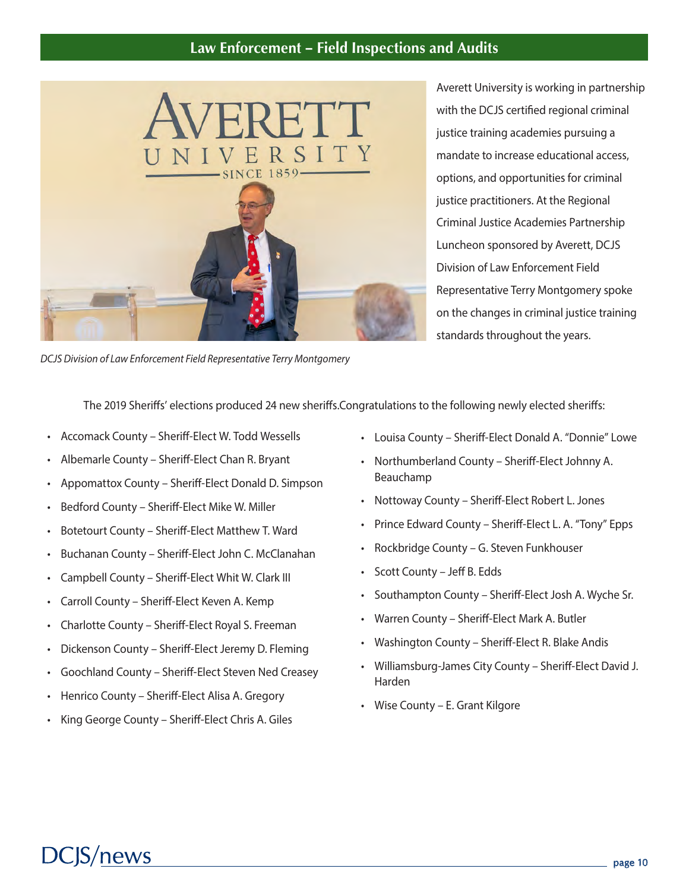## **Law Enforcement – Field Inspections and Audits**



*DCJS Division of Law Enforcement Field Representative Terry Montgomery*

Averett University is working in partnership with the DCJS certified regional criminal justice training academies pursuing a mandate to increase educational access, options, and opportunities for criminal justice practitioners. At the Regional Criminal Justice Academies Partnership Luncheon sponsored by Averett, DCJS Division of Law Enforcement Field Representative Terry Montgomery spoke on the changes in criminal justice training standards throughout the years.

The 2019 Sheriffs' elections produced 24 new sheriffs.Congratulations to the following newly elected sheriffs:

- Accomack County Sheriff-Elect W. Todd Wessells
- Albemarle County Sheriff-Elect Chan R. Bryant
- Appomattox County Sheriff-Elect Donald D. Simpson
- Bedford County Sheriff-Elect Mike W. Miller
- Botetourt County Sheriff-Elect Matthew T. Ward
- Buchanan County Sheriff-Elect John C. McClanahan
- Campbell County Sheriff-Elect Whit W. Clark III
- Carroll County Sheriff-Elect Keven A. Kemp
- Charlotte County Sheriff-Elect Royal S. Freeman
- Dickenson County Sheriff-Elect Jeremy D. Fleming
- Goochland County Sheriff-Elect Steven Ned Creasey
- Henrico County Sheriff-Elect Alisa A. Gregory
- King George County Sheriff-Elect Chris A. Giles
- Louisa County Sheriff-Elect Donald A. "Donnie" Lowe
- Northumberland County Sheriff-Elect Johnny A. Beauchamp
- Nottoway County Sheriff-Elect Robert L. Jones
- Prince Edward County Sheriff-Elect L. A. "Tony" Epps
- Rockbridge County G. Steven Funkhouser
- Scott County Jeff B. Edds
- Southampton County Sheriff-Elect Josh A. Wyche Sr.
- Warren County Sheriff-Elect Mark A. Butler
- Washington County Sheriff-Elect R. Blake Andis
- Williamsburg-James City County Sheriff-Elect David J. Harden
- Wise County E. Grant Kilgore